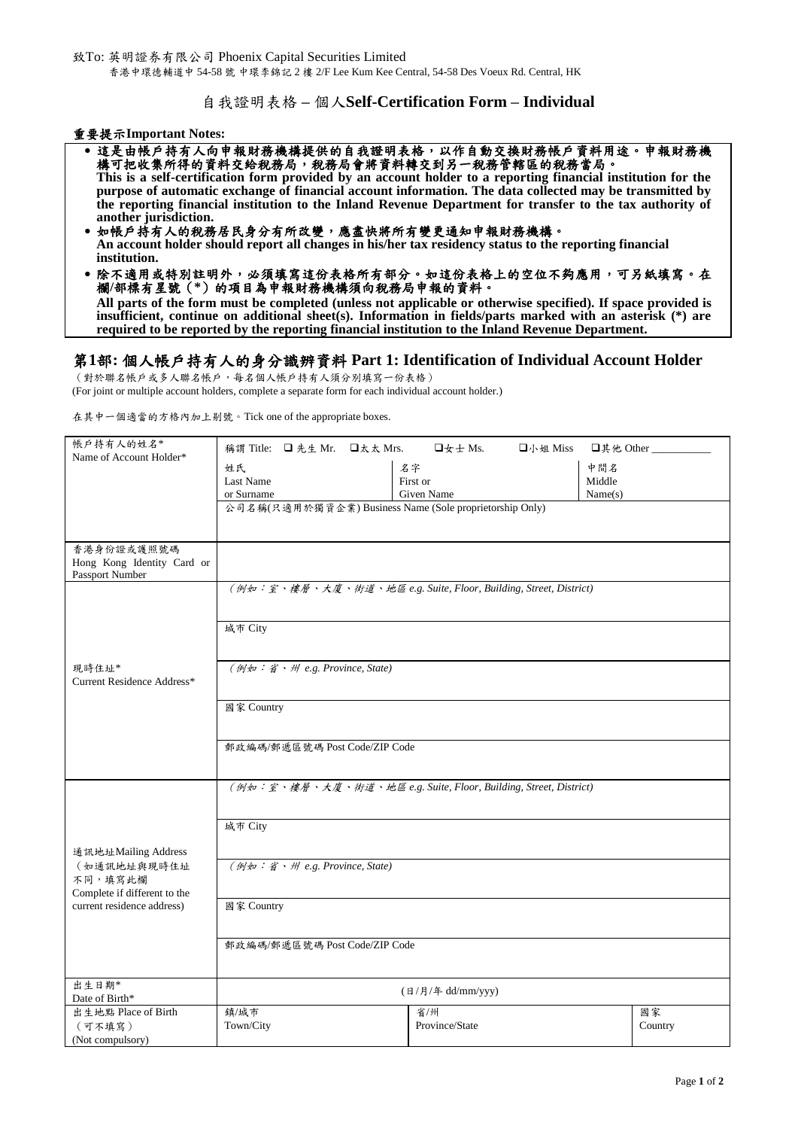致To: 英明證券有限公司 Phoenix Capital Securities Limited 香港中環德輔道中 54-58 號 中環李錦記 2 樓 2/F Lee Kum Kee Central, 54-58 Des Voeux Rd. Central, HK

## 自我證明表格 **–** 個人**Self-Certification Form – Individual**

#### 重要提示**Important Notes:**

- •這是由帳戶持有人向申報財務機構提供的自我證明表格,以作自動交換財務帳戶資料用途。申報財務機 構可把收集所得的資料交給稅務局,稅務局會將資料轉交到另一稅務管轄區的稅務當局。 **This is a self-certification form provided by an account holder to a reporting financial institution for the purpose of automatic exchange of financial account information. The data collected may be transmitted by the reporting financial institution to the Inland Revenue Department for transfer to the tax authority of another jurisdiction.**
- 如帳戶持有人的稅務居民身分有所改變,應盡快將所有變更通知申報財務機構。 **An account holder should report all changes in his/her tax residency status to the reporting financial institution.**
- 除不適用或特別註明外,必須填寫這份表格所有部分。如這份表格上的空位不夠應用,可另紙填寫。在 欄**/**部標有星號(**\***)的項目為申報財務機構須向稅務局申報的資料。 **All parts of the form must be completed (unless not applicable or otherwise specified). If space provided is insufficient, continue on additional sheet(s). Information in fields/parts marked with an asterisk (\*) are required to be reported by the reporting financial institution to the Inland Revenue Department.**

# 第**1**部**:** 個人帳戶持有人的身分識辨資料 **Part 1: Identification of Individual Account Holder**

(對於聯名帳戶或多人聯名帳戶,每名個人帳戶持有人須分別填寫一份表格)

(For joint or multiple account holders, complete a separate form for each individual account holder.)

在其中一個適當的方格內加上剔號。Tick one of the appropriate boxes.

| 帳戶持有人的姓名*<br>Name of Account Holder*    |                                                                  |  |  | 稱謂 Title: □先生 Mr. □太太 Mrs. □女士 Ms. | 口小姐 Miss | □其他 Other _ |               |  |
|-----------------------------------------|------------------------------------------------------------------|--|--|------------------------------------|----------|-------------|---------------|--|
|                                         | 姓氏                                                               |  |  | 名字                                 |          | 中間名         |               |  |
|                                         | Last Name                                                        |  |  | First or                           |          | Middle      |               |  |
|                                         | or Surname                                                       |  |  | Given Name                         |          | Name(s)     |               |  |
|                                         | 公司名稱(只適用於獨資企業) Business Name (Sole proprietorship Only)          |  |  |                                    |          |             |               |  |
|                                         |                                                                  |  |  |                                    |          |             |               |  |
| 香港身份證或護照號碼                              |                                                                  |  |  |                                    |          |             |               |  |
| Hong Kong Identity Card or              |                                                                  |  |  |                                    |          |             |               |  |
| Passport Number                         |                                                                  |  |  |                                    |          |             |               |  |
|                                         | (例如:室、樓層、大廈、街道、地區 e.g. Suite, Floor, Building, Street, District) |  |  |                                    |          |             |               |  |
|                                         |                                                                  |  |  |                                    |          |             |               |  |
|                                         | 城市 City                                                          |  |  |                                    |          |             |               |  |
|                                         |                                                                  |  |  |                                    |          |             |               |  |
| 現時住址*                                   |                                                                  |  |  |                                    |          |             |               |  |
| Current Residence Address*              | (例如:省、州 e.g. Province, State)                                    |  |  |                                    |          |             |               |  |
|                                         |                                                                  |  |  |                                    |          |             |               |  |
|                                         | 國家 Country                                                       |  |  |                                    |          |             |               |  |
|                                         |                                                                  |  |  |                                    |          |             |               |  |
|                                         | 郵政編碼/郵遞區號碼 Post Code/ZIP Code                                    |  |  |                                    |          |             |               |  |
|                                         |                                                                  |  |  |                                    |          |             |               |  |
|                                         |                                                                  |  |  |                                    |          |             |               |  |
|                                         | (例如:室、樓層、大廈、街道、地區 e.g. Suite, Floor, Building, Street, District) |  |  |                                    |          |             |               |  |
|                                         |                                                                  |  |  |                                    |          |             |               |  |
|                                         | 城市 City                                                          |  |  |                                    |          |             |               |  |
|                                         |                                                                  |  |  |                                    |          |             |               |  |
| 通訊地址Mailing Address                     |                                                                  |  |  |                                    |          |             |               |  |
| (如通訊地址與現時住址                             | (例如:省、州 e.g. Province, State)                                    |  |  |                                    |          |             |               |  |
| 不同,填寫此欄<br>Complete if different to the |                                                                  |  |  |                                    |          |             |               |  |
| current residence address)              | 國家 Country                                                       |  |  |                                    |          |             |               |  |
|                                         |                                                                  |  |  |                                    |          |             |               |  |
|                                         | 郵政編碼/郵遞區號碼 Post Code/ZIP Code                                    |  |  |                                    |          |             |               |  |
|                                         |                                                                  |  |  |                                    |          |             |               |  |
|                                         |                                                                  |  |  |                                    |          |             |               |  |
| 出生日期*                                   | (日/月/年 dd/mm/yyy)                                                |  |  |                                    |          |             |               |  |
| Date of Birth*                          |                                                                  |  |  |                                    |          |             |               |  |
| 出生地點 Place of Birth<br>(可不填寫)           | 鎮/城市<br>Town/City                                                |  |  | 省/州<br>Province/State              |          |             | 國家<br>Country |  |
| (Not compulsory)                        |                                                                  |  |  |                                    |          |             |               |  |